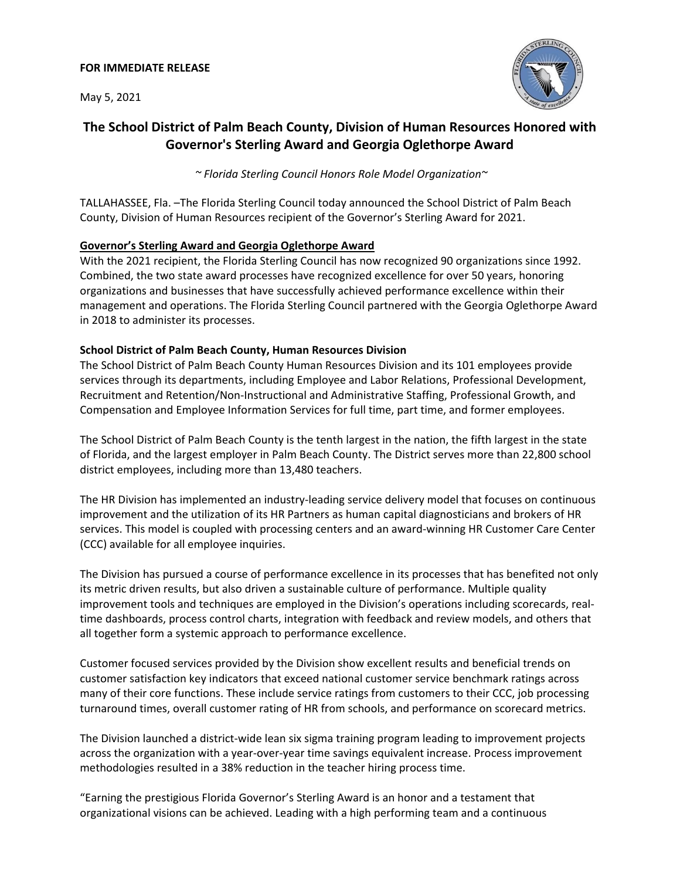May 5, 2021



# **The School District of Palm Beach County, Division of Human Resources Honored with Governor's Sterling Award and Georgia Oglethorpe Award**

*~ Florida Sterling Council Honors Role Model Organization~*

TALLAHASSEE, Fla. –The Florida Sterling Council today announced the School District of Palm Beach County, Division of Human Resources recipient of the Governor's Sterling Award for 2021.

## **Governor's Sterling Award and Georgia Oglethorpe Award**

With the 2021 recipient, the Florida Sterling Council has now recognized 90 organizations since 1992. Combined, the two state award processes have recognized excellence for over 50 years, honoring organizations and businesses that have successfully achieved performance excellence within their management and operations. The Florida Sterling Council partnered with the Georgia Oglethorpe Award in 2018 to administer its processes.

## **School District of Palm Beach County, Human Resources Division**

The School District of Palm Beach County Human Resources Division and its 101 employees provide services through its departments, including Employee and Labor Relations, Professional Development, Recruitment and Retention/Non-Instructional and Administrative Staffing, Professional Growth, and Compensation and Employee Information Services for full time, part time, and former employees.

The School District of Palm Beach County is the tenth largest in the nation, the fifth largest in the state of Florida, and the largest employer in Palm Beach County. The District serves more than 22,800 school district employees, including more than 13,480 teachers.

The HR Division has implemented an industry-leading service delivery model that focuses on continuous improvement and the utilization of its HR Partners as human capital diagnosticians and brokers of HR services. This model is coupled with processing centers and an award-winning HR Customer Care Center (CCC) available for all employee inquiries.

The Division has pursued a course of performance excellence in its processes that has benefited not only its metric driven results, but also driven a sustainable culture of performance. Multiple quality improvement tools and techniques are employed in the Division's operations including scorecards, realtime dashboards, process control charts, integration with feedback and review models, and others that all together form a systemic approach to performance excellence.

Customer focused services provided by the Division show excellent results and beneficial trends on customer satisfaction key indicators that exceed national customer service benchmark ratings across many of their core functions. These include service ratings from customers to their CCC, job processing turnaround times, overall customer rating of HR from schools, and performance on scorecard metrics.

The Division launched a district-wide lean six sigma training program leading to improvement projects across the organization with a year-over-year time savings equivalent increase. Process improvement methodologies resulted in a 38% reduction in the teacher hiring process time.

"Earning the prestigious Florida Governor's Sterling Award is an honor and a testament that organizational visions can be achieved. Leading with a high performing team and a continuous